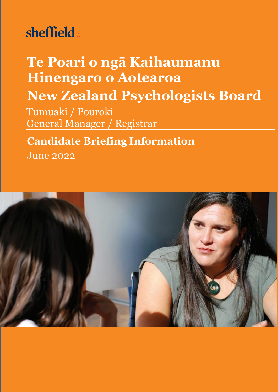# sheffield.

# **Te Poari o ngā Kaihaumanu Hinengaro o Aotearoa**

## **New Zealand Psychologists Board**

Tumuaki / Pouroki General Manager / Registrar

## **Candidate Briefing Information**

June 2022

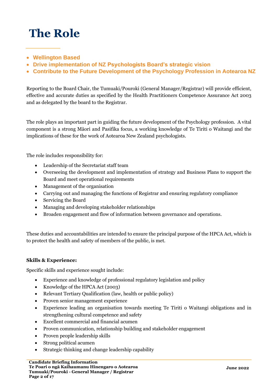## **The Role**

- **Wellington Based**
- **Drive implementation of NZ Psychologists Board's strategic vision**
- **Contribute to the Future Development of the Psychology Profession in Aotearoa NZ**

Reporting to the Board Chair, the Tumuaki/Pouroki (General Manager/Registrar) will provide efficient, effective and accurate duties as specified by the Health Practitioners Competence Assurance Act 2003 and as delegated by the board to the Registrar.

The role plays an important part in guiding the future development of the Psychology profession. A vital component is a strong Māori and Pasifika focus, a working knowledge of Te Tiriti o Waitangi and the implications of these for the work of Aotearoa New Zealand psychologists.

The role includes responsibility for:

- Leadership of the Secretariat staff team
- Overseeing the development and implementation of strategy and Business Plans to support the Board and meet operational requirements
- Management of the organisation
- Carrying out and managing the functions of Registrar and ensuring regulatory compliance
- Servicing the Board
- Managing and developing stakeholder relationships
- Broaden engagement and flow of information between governance and operations.

These duties and accountabilities are intended to ensure the principal purpose of the HPCA Act, which is to protect the health and safety of members of the public, is met.

#### **Skills & Experience:**

Specific skills and experience sought include:

- Experience and knowledge of professional regulatory legislation and policy
- Knowledge of the HPCA Act (2003)
- Relevant Tertiary Qualification (law, health or public policy)
- Proven senior management experience
- Experience leading an organisation towards meeting Te Tiriti o Waitangi obligations and in strengthening cultural competence and safety
- Excellent commercial and financial acumen
- Proven communication, relationship building and stakeholder engagement
- Proven people leadership skills
- Strong political acumen
- Strategic thinking and change leadership capability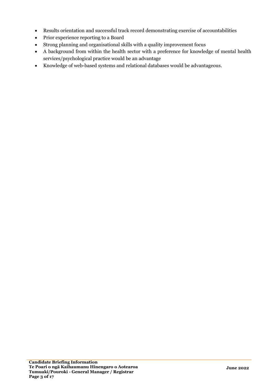- Results orientation and successful track record demonstrating exercise of accountabilities
- Prior experience reporting to a Board
- Strong planning and organisational skills with a quality improvement focus
- A background from within the health sector with a preference for knowledge of mental health services/psychological practice would be an advantage
- Knowledge of web-based systems and relational databases would be advantageous.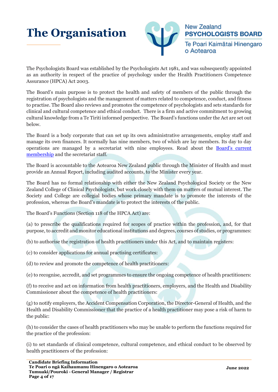## **The Organisation**



The Psychologists Board was established by the Psychologists Act 1981, and was subsequently appointed as an authority in respect of the practice of psychology under the Health Practitioners Competence Assurance (HPCA) Act 2003.

The Board's main purpose is to protect the health and safety of members of the public through the registration of psychologists and the management of matters related to competence, conduct, and fitness to practise. The Board also reviews and promotes the competence of psychologists and sets standards for clinical and cultural competence and ethical conduct. There is a firm and active commitment to growing cultural knowledge from a Te Tiriti informed perspective. The Board's functions under the Act are set out below.

The Board is a body corporate that can set up its own administrative arrangements, employ staff and manage its own finances. It normally has nine members, two of which are lay members. Its day to day operations are managed by a secretariat with nine employees. Read about the [Board's current](https://psychologistsboard.org.nz/for-the-public/about-the-board/board-members/)  [membership](https://psychologistsboard.org.nz/for-the-public/about-the-board/board-members/) and the secretariat staff.

The Board is accountable to the Aotearoa New Zealand public through the Minister of Health and must provide an Annual Report, including audited accounts, to the Minister every year.

The Board has no formal relationship with either the New Zealand Psychological Society or the New Zealand College of Clinical Psychologists, but work closely with them on matters of mutual interest. The Society and College are collegial bodies whose primary mandate is to promote the interests of the profession, whereas the Board's mandate is to protect the interests of the public.

The Board's Functions (Section 118 of the HPCA Act) are:

(a) to prescribe the qualifications required for scopes of practice within the profession, and, for that purpose, to accredit and monitor educational institutions and degrees, courses of studies, or programmes:

(b) to authorise the registration of health practitioners under this Act, and to maintain registers:

(c) to consider applications for annual practising certificates:

(d) to review and promote the competence of health practitioners:

(e) to recognise, accredit, and set programmes to ensure the ongoing competence of health practitioners:

(f) to receive and act on information from health practitioners, employers, and the Health and Disability Commissioner about the competence of health practitioners:

(g) to notify employers, the Accident Compensation Corporation, the Director-General of Health, and the Health and Disability Commissioner that the practice of a health practitioner may pose a risk of harm to the public:

(h) to consider the cases of health practitioners who may be unable to perform the functions required for the practice of the profession:

(i) to set standards of clinical competence, cultural competence, and ethical conduct to be observed by health practitioners of the profession: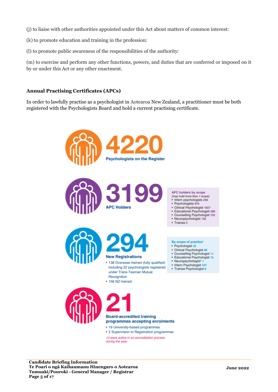- (j) to liaise with other authorities appointed under this Act about matters of common interest:
- (k) to promote education and training in the profession:
- (l) to promote public awareness of the responsibilities of the authority:

(m) to exercise and perform any other functions, powers, and duties that are conferred or imposed on it by or under this Act or any other enactment.

#### **Annual Practising Certificates (APCs)**

In order to lawfully practise as a psychologist in Aotearoa New Zealand, a practitioner must be both registered with the Psychologists Board and hold a current practising certificate.

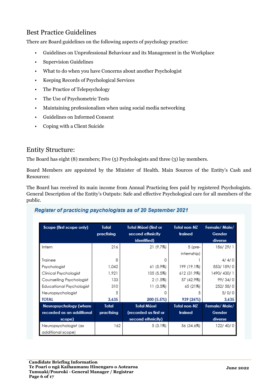### Best Practice Guidelines

There are Board guidelines on the following aspects of psychology practice:

- Guidelines on Unprofessional Behaviour and its Management in the Workplace
- Supervision Guidelines
- What to do when you have Concerns about another Psychologist
- Keeping Records of Psychological Services
- The Practice of Telepsychology
- The Use of Psychometric Tests
- Maintaining professionalism when using social media networking
- Guidelines on Informed Consent
- Coping with a Client Suicide

#### Entity Structure:

The Board has eight (8) members; Five (5) Psychologists and three (3) lay members.

Board Members are appointed by the Minister of Health. Main Sources of the Entity's Cash and Resources:

The Board has received its main income from Annual Practicing fees paid by registered Psychologists. General Description of the Entity's Outputs: Safe and effective Psychological care for all members of the public.

#### Register of practicing psychologists as of 20 September 2021

| Scope (first scope only)                   | Total<br>practising | Total Māori (first or<br>second ethnicity<br>identified) | <b>Total non-NZ</b><br>trained | Female/Male/<br>Gender<br>diverse |
|--------------------------------------------|---------------------|----------------------------------------------------------|--------------------------------|-----------------------------------|
| Intern                                     | 216                 | 21 (9.7%)                                                | 5 (pre-                        | 186/29/1                          |
|                                            |                     |                                                          | internship)                    |                                   |
| Trainee                                    | 8                   | n                                                        |                                | 4/4/0                             |
| Psychologist                               | 1,042               | 61 (5.9%)                                                | 199 (19.1%)                    | 853/189/0                         |
| Clinical Psychologist                      | 1,921               | 105 (5.5%)                                               | 612 (31.9%)                    | 1490/430/1                        |
| Counselling Psychologist                   | 133                 | 2 (1.5%)                                                 | 57 (42.9%)                     | 99/34/0                           |
| Educational Psychologist                   | 310                 | 11 (3.5%)                                                | 65 (21%)                       | 252/58/0                          |
| Neuropsychologist                          | 5                   |                                                          | 5                              | 5/0/0                             |
| <b>TOTAL</b>                               | 3,635               | 200 (5.5%)                                               | 939 (26%)                      | 3,635                             |
| Neuropsychology (where                     | Total               | <b>Total Māori</b>                                       | <b>Total non-NZ</b>            | Female/Male/                      |
| recorded as an additional                  | practising          | (recorded as first or                                    | trained                        | Gender                            |
| scope)                                     |                     | second ethnicity)                                        |                                | diverse                           |
| Neuropsychologist (as<br>additional scope) | 162                 | $5(3.1\%)$                                               | 56 (34.6%)                     | 122/40/0                          |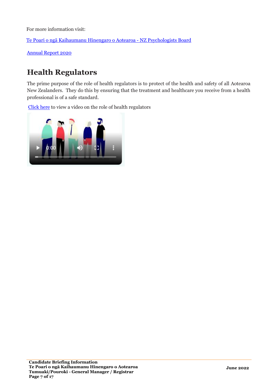For more information visit:

[Te Poari o ngā Kaihaumanu Hin](https://psychologistsboard.org.nz/)engaro o Aotearoa - NZ Psychologists Board

[Annual Report 2020](https://psychologistsboard.org.nz/wp-content/uploads/2021/07/NZPB-Annual-Report-2020.-Final..pdf)

### **Health Regulators**

The prime purpose of the role of health regulators is to protect of the health and safety of all Aotearoa New Zealanders. They do this by ensuring that the treatment and healthcare you receive from a health professional is of a safe standard.

[Click here](https://psychologistsboard.org.nz/wp-content/uploads/2020/01/HRANZ190601_Health_Regulators_Animation.mp4) to view a video on the role of health regulators

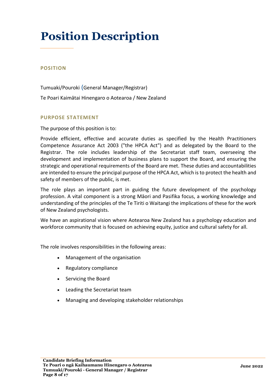## **Position Description**

#### **POSITION**

Tumuaki/Pouroki (General Manager/Registrar) Te Poari Kaimātai Hinengaro o Aotearoa / New Zealand

#### **PURPOSE STATEMENT**

The purpose of this position is to:

Provide efficient, effective and accurate duties as specified by the Health Practitioners Competence Assurance Act 2003 ("the HPCA Act") and as delegated by the Board to the Registrar. The role includes leadership of the Secretariat staff team, overseeing the development and implementation of business plans to support the Board, and ensuring the strategic and operational requirements of the Board are met. These duties and accountabilities are intended to ensure the principal purpose of the HPCA Act, which is to protect the health and safety of members of the public, is met.

The role plays an important part in guiding the future development of the psychology profession. A vital component is a strong Māori and Pasifika focus, a working knowledge and understanding of the principles of the Te Tiriti o Waitangi the implications of these for the work of New Zealand psychologists.

We have an aspirational vision where Aotearoa New Zealand has a psychology education and workforce community that is focused on achieving equity, justice and cultural safety for all.

The role involves responsibilities in the following areas:

- Management of the organisation
- Regulatory compliance
- Servicing the Board
- Leading the Secretariat team
- Managing and developing stakeholder relationships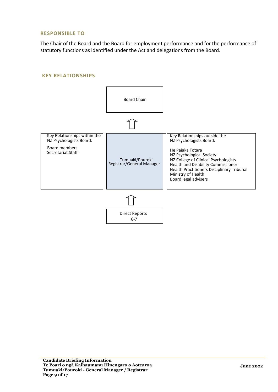#### **RESPONSIBLE TO**

The Chair of the Board and the Board for employment performance and for the performance of statutory functions as identified under the Act and delegations from the Board.

#### **KEY RELATIONSHIPS**

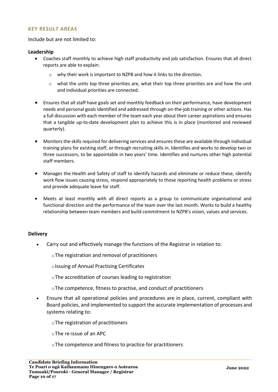#### **KEY RESULT AREAS**

#### Include but are not limited to:

#### **Leadership**

- Coaches staff monthly to achieve high staff productivity and job satisfaction. Ensures that all direct reports are able to explain:
	- o why their work is important to NZPB and how it links to the direction.
	- o what the units top three priorities are, what their top three priorities are and how the unit and individual priorities are connected.
- Ensures that all staff have goals set and monthly feedback on their performance, have development needs and personal goals identified and addressed through on-the-job training or other actions. Has a full discussion with each member of the team each year about their career aspirations and ensures that a tangible up-to-date development plan to achieve this is in place (monitored and reviewed quarterly).
- Monitors the skills required for delivering services and ensures these are available through individual training plans for existing staff, or through recruiting skills in. Identifies and works to develop two or three successors, to be appointable in two years' time. Identifies and nurtures other high potential staff members.
- Manages the Health and Safety of staff to identify hazards and eliminate or reduce these, identify work flow issues causing stress, respond appropriately to those reporting health problems or stress and provide adequate leave for staff.
- Meets at least monthly with all direct reports as a group to communicate organisational and functional direction and the performance of the team over the last month. Works to build a healthy relationship between team members and build commitment to NZPB's vision, values and services.

#### **Delivery**

- Carry out and effectively manage the functions of the Registrar in relation to:
	- oThe registration and removal of practitioners
	- o Issuing of Annual Practising Certificates
	- oThe accreditation of courses leading to registration
	- oThe competence, fitness to practise, and conduct of practitioners
- Ensure that all operational policies and procedures are in place, current, compliant with Board policies, and implemented to support the accurate implementation of processes and systems relating to:
	- oThe registration of practitioners
	- oThe re-issue of an APC
	- oThe competence and fitness to practice for practitioners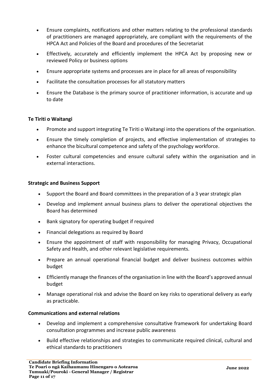- Ensure complaints, notifications and other matters relating to the professional standards of practitioners are managed appropriately, are compliant with the requirements of the HPCA Act and Policies of the Board and procedures of the Secretariat
- Effectively, accurately and efficiently implement the HPCA Act by proposing new or reviewed Policy or business options
- Ensure appropriate systems and processes are in place for all areas of responsibility
- Facilitate the consultation processes for all statutory matters
- Ensure the Database is the primary source of practitioner information, is accurate and up to date

#### **Te Tiriti o Waitangi**

- Promote and support integrating Te Tiriti o Waitangi into the operations of the organisation.
- Ensure the timely completion of projects, and effective implementation of strategies to enhance the bicultural competence and safety of the psychology workforce.
- Foster cultural competencies and ensure cultural safety within the organisation and in external interactions.

#### **Strategic and Business Support**

- Support the Board and Board committees in the preparation of a 3 year strategic plan
- Develop and implement annual business plans to deliver the operational objectives the Board has determined
- Bank signatory for operating budget if required
- Financial delegations as required by Board
- Ensure the appointment of staff with responsibility for managing Privacy, Occupational Safety and Health, and other relevant legislative requirements.
- Prepare an annual operational financial budget and deliver business outcomes within budget
- Efficiently manage the finances of the organisation in line with the Board's approved annual budget
- Manage operational risk and advise the Board on key risks to operational delivery as early as practicable.

#### **Communications and external relations**

- Develop and implement a comprehensive consultative framework for undertaking Board consultation programmes and increase public awareness
- Build effective relationships and strategies to communicate required clinical, cultural and ethical standards to practitioners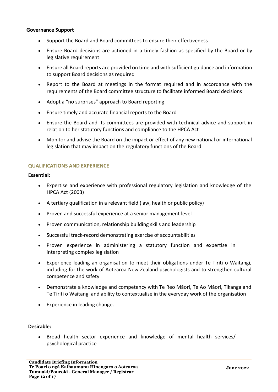#### **Governance Support**

- Support the Board and Board committees to ensure their effectiveness
- Ensure Board decisions are actioned in a timely fashion as specified by the Board or by legislative requirement
- Ensure all Board reports are provided on time and with sufficient guidance and information to support Board decisions as required
- Report to the Board at meetings in the format required and in accordance with the requirements of the Board committee structure to facilitate informed Board decisions
- Adopt a "no surprises" approach to Board reporting
- Ensure timely and accurate financial reports to the Board
- Ensure the Board and its committees are provided with technical advice and support in relation to her statutory functions and compliance to the HPCA Act
- Monitor and advise the Board on the impact or effect of any new national or international legislation that may impact on the regulatory functions of the Board

#### **QUALIFICATIONS AND EXPERIENCE**

#### **Essential:**

- Expertise and experience with professional regulatory legislation and knowledge of the HPCA Act (2003)
- A tertiary qualification in a relevant field (law, health or public policy)
- Proven and successful experience at a senior management level
- Proven communication, relationship building skills and leadership
- Successful track-record demonstrating exercise of accountabilities
- Proven experience in administering a statutory function and expertise in interpreting complex legislation
- Experience leading an organisation to meet their obligations under Te Tiriti o Waitangi, including for the work of Aotearoa New Zealand psychologists and to strengthen cultural competence and safety
- Demonstrate a knowledge and competency with Te Reo Māori, Te Ao Māori, Tikanga and Te Tiriti o Waitangi and ability to contextualise in the everyday work of the organisation
- Experience in leading change.

#### **Desirable:**

• Broad health sector experience and knowledge of mental health services/ psychological practice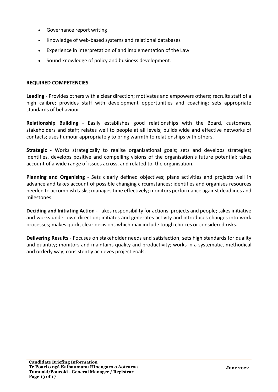- Governance report writing
- Knowledge of web-based systems and relational databases
- Experience in interpretation of and implementation of the Law
- Sound knowledge of policy and business development.

#### **REQUIRED COMPETENCIES**

**Leading** - Provides others with a clear direction; motivates and empowers others; recruits staff of a high calibre; provides staff with development opportunities and coaching; sets appropriate standards of behaviour.

**Relationship Building** - Easily establishes good relationships with the Board, customers, stakeholders and staff; relates well to people at all levels; builds wide and effective networks of contacts; uses humour appropriately to bring warmth to relationships with others.

**Strategic** - Works strategically to realise organisational goals; sets and develops strategies; identifies, develops positive and compelling visions of the organisation 's future potential; takes account of a wide range of issues across, and related to, the organisation.

**Planning and Organising** - Sets clearly defined objectives; plans activities and projects well in advance and takes account of possible changing circumstances; identifies and organises resources needed to accomplish tasks; manages time effectively; monitors performance against deadlines and milestones.

**Deciding and Initiating Action** - Takes responsibility for actions, projects and people; takes initiative and works under own direction; initiates and generates activity and introduces changes into work processes; makes quick, clear decisions which may include tough choices or considered risks.

**Delivering Results** - Focuses on stakeholder needs and satisfaction; sets high standards for quality and quantity; monitors and maintains quality and productivity; works in a systematic, methodical and orderly way; consistently achieves project goals.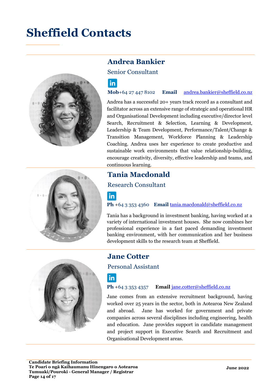## **Sheffield Contacts**



### **Andrea Bankier**

Senior Consultant

### l in l

**Mob**+64 27 447 8102 **Email** [andrea.bankier@sheffield.co.nz](mailto:andrea.bankier@sheffield.co.nz)

Andrea has a successful 20+ years track record as a consultant and facilitator across an extensive range of strategic and operational HR and Organisational Development including executive/director level Search, Recruitment & Selection, Learning & Development, Leadership & Team Development, Performance/Talent/Change & Transition Management, Workforce Planning & Leadership Coaching. Andrea uses her experience to create productive and sustainable work environments that value relationship-building, encourage creativity, diversity, effective leadership and teams, and continuous learning.

### **Tania Macdonald**

#### Research Consultant

### $|$ in $|$

**Ph** +64 3 353 4360 **Email** [tania.macdonald@sheffield.co.nz](mailto:tania.macdonald@sheffield.co.nz)

Tania has a background in investment banking, having worked at a variety of international investment houses. She now combines her professional experience in a fast paced demanding investment banking environment, with her communication and her business development skills to the research team at Sheffield.



### **Jane Cotter**

Personal Assistant

### $|in|$

**Ph** +64 3 353 4357 **Email** [jane.cotter@sheffield.co.nz](mailto:jane.cotter@sheffield.co.nz)

Jane comes from an extensive recruitment background, having worked over 25 years in the sector, both in Aotearoa New Zealand and abroad. Jane has worked for government and private companies across several disciplines including engineering, health and education. Jane provides support in candidate management and project support in Executive Search and Recruitment and Organisational Development areas.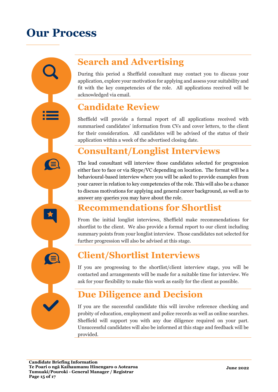## **Our Process**

**Search and Advertising**

During this period a Sheffield consultant may contact you to discuss your application, explore your motivation for applying and assess your suitability and fit with the key competencies of the role. All applications received will be acknowledged via email.

## **Candidate Review**

Sheffield will provide a formal report of all applications received with summarised candidates' information from CVs and cover letters, to the client for their consideration. All candidates will be advised of the status of their application within a week of the advertised closing date.

## **Consultant/Longlist Interviews**

The lead consultant will interview those candidates selected for progression either face to face or via Skype/VC depending on location. The format will be a behavioural-based interview where you will be asked to provide examples from your career in relation to key competencies of the role. This will also be a chance to discuss motivations for applying and general career background, as well as to answer any queries you may have about the role.

## **Recommendations for Shortlist**

From the initial longlist interviews, Sheffield make recommendations for shortlist to the client. We also provide a formal report to our client including summary points from your longlist interview. Those candidates not selected for further progression will also be advised at this stage.

## **Client/Shortlist Interviews**

If you are progressing to the shortlist/client interview stage, you will be contacted and arrangements will be made for a suitable time for interview. We ask for your flexibility to make this work as easily for the client as possible.

## **Due Diligence and Decision**

If you are the successful candidate this will involve reference checking and probity of education, employment and police records as well as online searches. Sheffield will support you with any due diligence required on your part. Unsuccessful candidates will also be informed at this stage and feedback will be provided.

E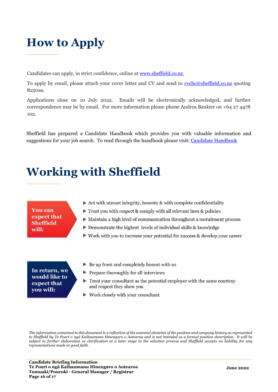## **How to Apply**

Candidates can apply, in strict confidence, online at [www.sheffield.co.nz.](http://www.sheffield.co.nz/Job-Search)

To apply by email, please attach your cover letter and CV and send to [cvchc@sheffield.co.nz](mailto:cvchc@sheffield.co.nz) quoting 8250aa.

Applications close on 10 July 2022. Emails will be electronically acknowledged, and further correspondence may be by email. For more information please phone Andrea Bankier on +64 27 4478 102.

Sheffield has prepared a Candidate Handbook which provides you with valuable information and suggestions for your job search. To read through the handbook please visit: [Candidate Handbook](https://www.sheffield.co.nz/insights/candidatehandbook)

## **Working with Sheffield**

### **You can** expect that **Sheffield** will:

- $\triangleright$  Act with utmost integrity, honesty & with complete confidentiality
- $\triangleright$  Treat you with respect & comply with all relevant laws & policies
- $\triangleright$  Maintain a high level of communication throughout a recruitment process
- $\triangleright$  Demonstrate the highest levels of individual skills & knowledge
- $\triangleright$  Work with you to increase your potential for success & develop your career

#### In return, we would like to expect that you will:

- $\triangleright$  Be up front and completely honest with us
- $\blacktriangleright$  Prepare thoroughly for all interviews
- $\triangleright$  Treat your consultant as the potential employer with the same courtesy and respect they show you
- $\triangleright$  Work closely with your consultant

*The information contained in this document is a reflection of the essential elements of the position and company history as represented to Sheffield by Te Poari o ngā Kaihaumanu Hinengaro o Aotearoa and is not intended as a formal position description. It will be*  subject to further elaboration or clarification at a later stage in the selection process and Sheffield accepts no liability for any *representations made in good faith.*